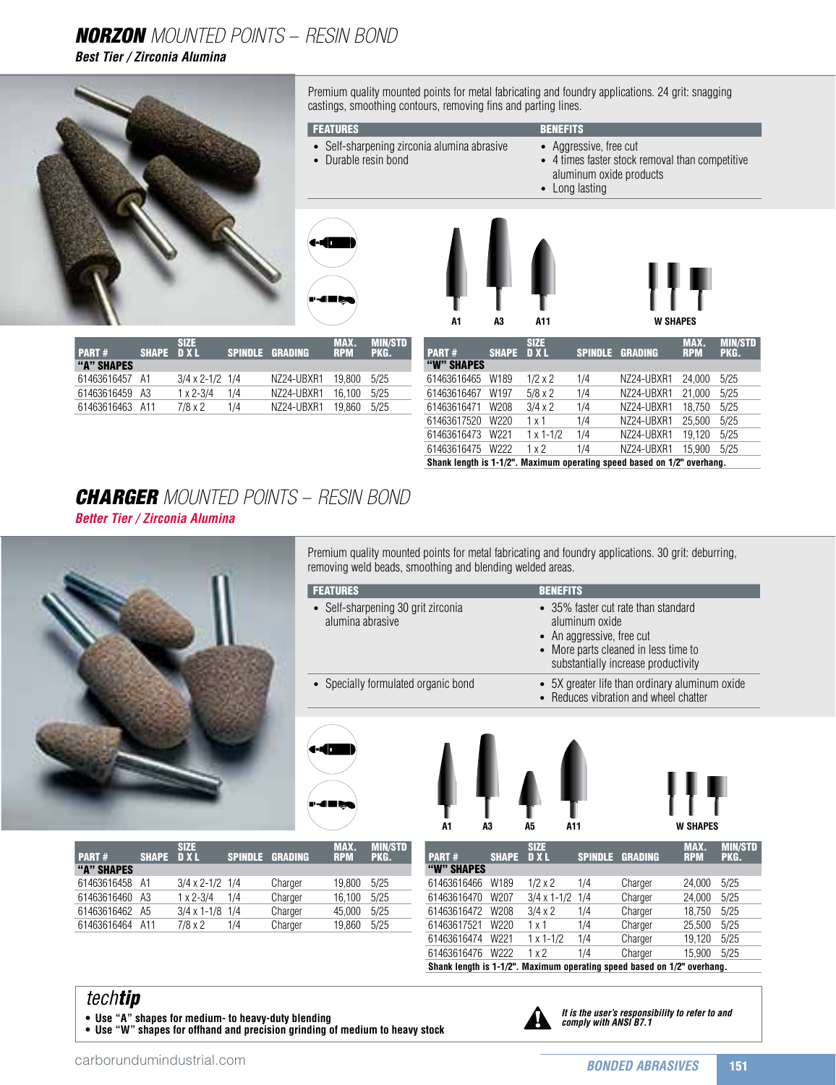## NorZon Mounted Points – Resin Bond

*Best Tier / Zirconia Alumina*



Premium quality mounted points for metal fabricating and foundry applications. 24 grit: snagging castings, smoothing contours, removing fins and parting lines.

#### **FEATURES** BENEFITS

- Self-sharpening zirconia alumina abrasive
- - Aggressive, free cut
	- 4 times faster stock removal than competitive aluminum oxide products
	- Long lasting



• Durable resin bond

| A1 | A3 | A11 | W SHA |
|----|----|-----|-------|
|    |    | ——  |       |

| <b>PART#</b>    | SHAPE DXL | SI7F                     | SPINDLE GRADING |            | <b>IMAX.</b><br><b>RPM</b> | <b>MIN/STD</b><br>PKG. |
|-----------------|-----------|--------------------------|-----------------|------------|----------------------------|------------------------|
| "A" SHAPES      |           |                          |                 |            |                            |                        |
| 61463616457 A1  |           | $3/4 \times 2 - 1/2$ 1/4 |                 | NZ24-UBXR1 | 19.800                     | 5/25                   |
| 61463616459 A3  |           | $1 \times 2 - 3/4$       | 1/4             | NZ24-UBXR1 | 16.100                     | 5/25                   |
| 61463616463 A11 |           | $7/8 \times 2$           | 1/4             | NZ24-UBXR1 | 19860                      | 5/25                   |
|                 |           |                          |                 |            |                            |                        |

| <b>PART#</b> | <b>SHAPE</b>     | <b>SIZE</b><br><b>DXL</b> | <b>SPINDLE</b> | <b>GRADING</b>                                                          | <b>MAX.</b><br><b>RPM</b> | <b>MIN/STD</b><br>PKG. |
|--------------|------------------|---------------------------|----------------|-------------------------------------------------------------------------|---------------------------|------------------------|
| "W" SHAPES   |                  |                           |                |                                                                         |                           |                        |
| 61463616465  | W189             | $1/2 \times 2$            | 1/4            | NZ24-UBXR1                                                              | 24.000                    | 5/25                   |
| 61463616467  | W <sub>197</sub> | $5/8 \times 2$            | 1/4            | NZ24-UBXR1                                                              | 21.000                    | 5/25                   |
| 61463616471  | W208             | $3/4 \times 2$            | 1/4            | NZ24-UBXR1                                                              | 18.750                    | 5/25                   |
| 61463617520  | W220             | 1 x 1                     | 1/4            | NZ24-UBXR1                                                              | 25.500                    | 5/25                   |
| 61463616473  | W <sub>221</sub> | $1 \times 1 - 1/2$        | 1/4            | NZ24-UBXR1                                                              | 19.120                    | 5/25                   |
| 61463616475  | W <sub>222</sub> | 1x2                       | 1/4            | NZ24-UBXR1                                                              | 15.900                    | 5/25                   |
|              |                  |                           |                | Shank length is 1-1/2". Maximum operating speed based on 1/2" overhang. |                           |                        |

### **CHARGER** MOUNTED POINTS – RESIN BOND *Better Tier / Zirconia Alumina*



Premium quality mounted points for metal fabricating and foundry applications. 30 grit: deburring, removing weld beads, smoothing and blending welded areas.

| <b>FEATURES</b>                                        | <b>BENEFITS</b>                                                                                                                                                   |
|--------------------------------------------------------|-------------------------------------------------------------------------------------------------------------------------------------------------------------------|
| • Self-sharpening 30 grit zirconia<br>alumina abrasive | • 35% faster cut rate than standard<br>aluminum oxide<br>• An aggressive, free cut<br>• More parts cleaned in less time to<br>substantially increase productivity |
| • Specially formulated organic bond                    | • 5X greater life than ordinary aluminum oxide<br>• Reduces vibration and wheel chatter                                                                           |
|                                                        |                                                                                                                                                                   |
|                                                        |                                                                                                                                                                   |



| A1 | A3 | A5 | A11 | W SHA |
|----|----|----|-----|-------|
|----|----|----|-----|-------|

| <b>PART#</b>    | SHAPE DXL | <b>SIZE</b>              |     | <b>SPINDLE GRADING</b> | MAX.<br><b>RPM</b> | <b>MIN/STD</b><br>PKG. |
|-----------------|-----------|--------------------------|-----|------------------------|--------------------|------------------------|
| "A" SHAPES      |           |                          |     |                        |                    |                        |
| 61463616458 A1  |           | $3/4 \times 2 - 1/2$ 1/4 |     | Charger                | 19.800             | 5/25                   |
| 61463616460     | A3        | $1 \times 2 - 3/4$       | 1/4 | Charger                | 16.100             | 5/25                   |
| 61463616462     | A5        | $3/4 \times 1 - 1/8$ 1/4 |     | Charger                | 45.000             | 5/25                   |
| 61463616464 A11 |           | $7/8 \times 2$           | 1/4 | Charger                | 19.860             | 5/25                   |

| <b>PART#</b> | <b>SHAPE</b>     | <b>SIZE</b><br><b>DXL</b> | <b>SPINDLE</b> | <b>GRADING</b> | MAX.<br><b>RPM</b> | <b>MIN/STD</b><br>PKG. |
|--------------|------------------|---------------------------|----------------|----------------|--------------------|------------------------|
| "W" SHAPES   |                  |                           |                |                |                    |                        |
| 61463616466  | W189             | $1/2 \times 2$            | 1/4            | Charger        | 24.000             | 5/25                   |
| 61463616470  | W207             | $3/4 \times 1 - 1/2$ 1/4  |                | Charger        | 24,000             | 5/25                   |
| 61463616472  | W208             | $3/4 \times 2$            | 1/4            | Charger        | 18.750             | 5/25                   |
| 61463617521  | W220             | 1 x 1                     | 1/4            | Charger        | 25.500             | 5/25                   |
| 61463616474  | W <sub>221</sub> | $1 \times 1 - 1/2$        | 1/4            | Charger        | 19,120             | 5/25                   |
| 61463616476  | W <sub>222</sub> | 1x2                       | 1/4            | Charger        | 15.900             | 5/25                   |

**Shank length is 1-1/2". Maximum operating speed based on 1/2" overhang.**

### *techtip*

**• Use "A" shapes for medium- to heavy-duty blending**

**• Use "W" shapes for offhand and precision grinding of medium to heavy stock**



*It is the user's responsibility to refer to and comply with ANSI B7.1*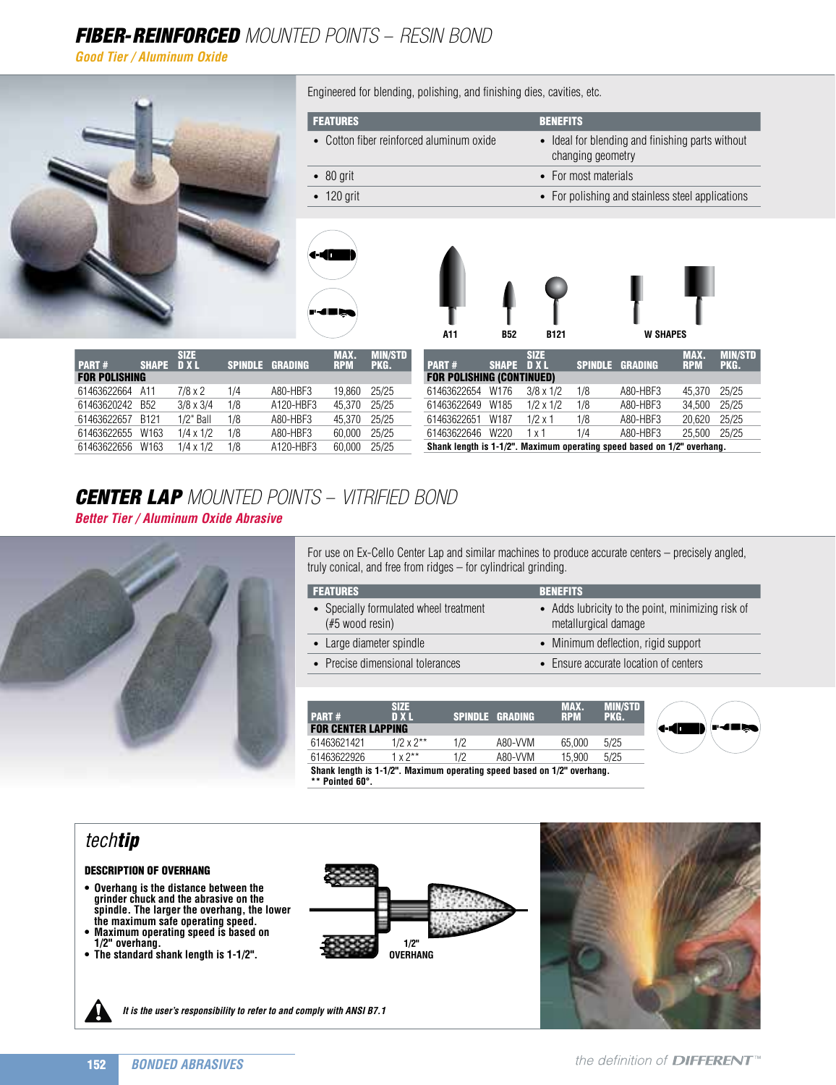# FIBER-REINFORCED MOUNTED POINTS - RESIN BOND

*Good Tier / Aluminum Oxide*



| CENTER LAP MOUNTED POINTS - VITRIFIED BOND |  |
|--------------------------------------------|--|

*Better Tier / Aluminum Oxide Abrasive*

61463622657 B121 1/2" Ball 1/8 A80-HBF3 45,370 25/25 61463622655 W163 1/4 x 1/2 1/8 A80-HBF3 60,000 25/25 61463622656 W163 1/4 x 1/2 1/8 A120-HBF3 60,000 25/25



For use on Ex-Cello Center Lap and similar machines to produce accurate centers – precisely angled, truly conical, and free from ridges – for cylindrical grinding.

61463622651 W187 1/2 x 1 1/8 A80-HBF3 20,620 25/25 61463622646 W220 1 x 1 1/4 A80-HBF3 25,500 25/25 **Shank length is 1-1/2". Maximum operating speed based on 1/2" overhang.**

| <b>FEATURES</b>                                            | <b>BENEFITS</b>                                                           |
|------------------------------------------------------------|---------------------------------------------------------------------------|
| • Specially formulated wheel treatment<br>$#5$ wood resin) | • Adds lubricity to the point, minimizing risk of<br>metallurgical damage |
| • Large diameter spindle                                   | • Minimum deflection, rigid support                                       |
| • Precise dimensional tolerances                           | • Ensure accurate location of centers                                     |
|                                                            |                                                                           |

| <b>PART#</b>                                                            | SIZE<br>D X L     |     | <b>SPINDLE GRADING</b> | <b>MAX.</b><br><b>RPM</b> | MIN/STD<br>PKG. |  |
|-------------------------------------------------------------------------|-------------------|-----|------------------------|---------------------------|-----------------|--|
| <b>FOR CENTER LAPPING</b>                                               |                   |     |                        |                           |                 |  |
| 61463621421                                                             | $1/2 x 2**$       | 1/2 | A80-VVM                | 65.000                    | 5/25            |  |
| 61463622926                                                             | $1 \times 2^{**}$ | 17  | A80-VVM                | 15,900                    | 5/25            |  |
| Shank length is 1-1/2". Maximum operating speed based on 1/2" overhang. |                   |     |                        |                           |                 |  |

**\*\* Pointed 60°.** 

## *techtip*

#### Description of Overhang

- **Overhang is the distance between the grinder chuck and the abrasive on the spindle. The larger the overhang, the lower the maximum safe operating speed.**
- **Maximum operating speed is based on 1/2" overhang.**
- **• The standard shank length is 1-1/2".**





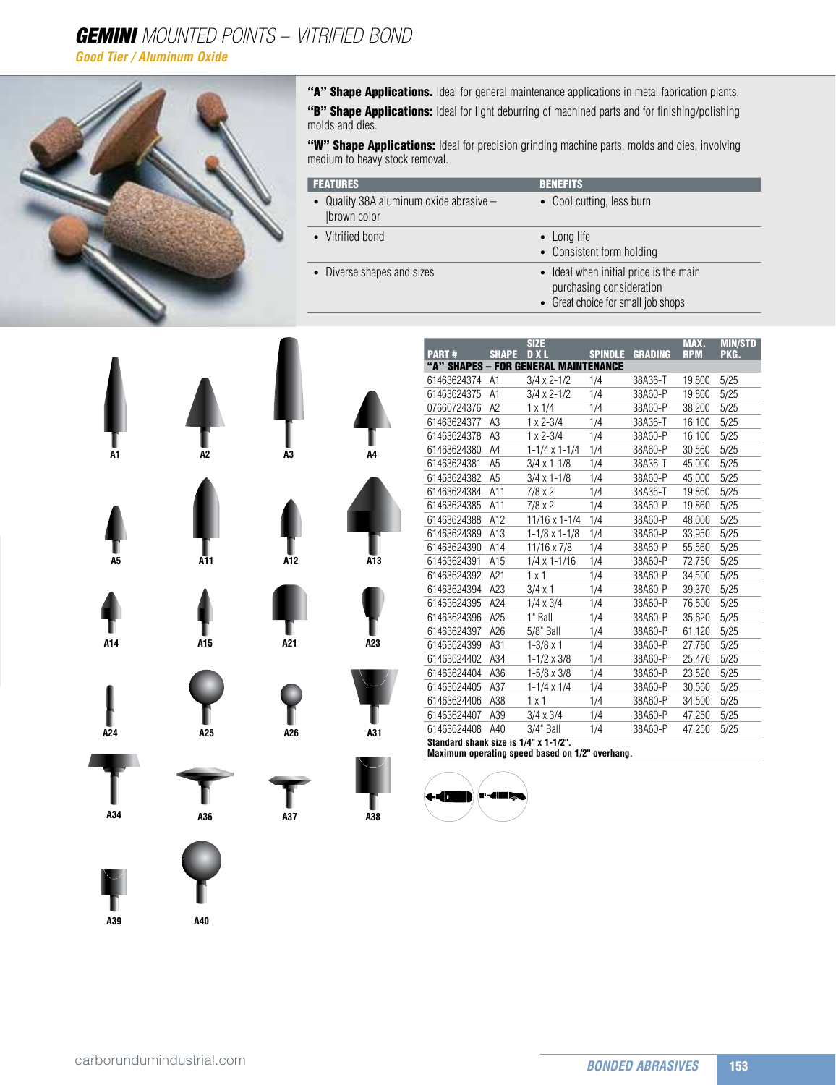# **GEMINI** MOUNTED POINTS - VITRIFIED BOND

*Good Tier / Aluminum Oxide*



"A" Shape Applications. Ideal for general maintenance applications in metal fabrication plants.

"B" Shape Applications: Ideal for light deburring of machined parts and for finishing/polishing molds and dies.

"W" Shape Applications: Ideal for precision grinding machine parts, molds and dies, involving medium to heavy stock removal.

| <b>FEATURES</b>                                          | <b>BENEFITS</b>                                                                                          |
|----------------------------------------------------------|----------------------------------------------------------------------------------------------------------|
| • Quality 38A aluminum oxide abrasive $-$<br>brown color | • Cool cutting, less burn                                                                                |
| • Vitrified bond                                         | • Long life<br>• Consistent form holding                                                                 |
| • Diverse shapes and sizes                               | • Ideal when initial price is the main<br>purchasing consideration<br>• Great choice for small job shops |



| <b>PART#</b> | <b>SHAPE</b>                          | <b>SIZE</b><br>D X L                 | <b>SPINDLE</b> | <b>GRADING</b> | MAX.<br><b>RPM</b> | <b>MIN/STD</b><br>PKG. |  |  |  |  |
|--------------|---------------------------------------|--------------------------------------|----------------|----------------|--------------------|------------------------|--|--|--|--|
|              |                                       | "A" SHAPES - FOR GENERAL MAINTENANCE |                |                |                    |                        |  |  |  |  |
| 61463624374  | A <sub>1</sub>                        | $3/4 \times 2 - 1/2$                 | 1/4            | 38A36-T        | 19,800             | 5/25                   |  |  |  |  |
| 61463624375  | A1                                    | $3/4 \times 2 - 1/2$                 | 1/4            | 38A60-P        | 19,800             | 5/25                   |  |  |  |  |
| 07660724376  | A2                                    | 1 x 1/4                              | 1/4            | 38A60-P        | 38,200             | 5/25                   |  |  |  |  |
| 61463624377  | A3                                    | $1 \times 2 - 3/4$                   | 1/4            | 38A36-T        | 16,100             | 5/25                   |  |  |  |  |
| 61463624378  | A <sub>3</sub>                        | $1 \times 2 - 3/4$                   | 1/4            | 38A60-P        | 16,100             | 5/25                   |  |  |  |  |
| 61463624380  | A4                                    | $1 - 1/4 \times 1 - 1/4$             | 1/4            | 38A60-P        | 30,560             | 5/25                   |  |  |  |  |
| 61463624381  | A <sub>5</sub>                        | $3/4 \times 1 - 1/8$                 | 1/4            | 38A36-T        | 45.000             | 5/25                   |  |  |  |  |
| 61463624382  | A <sub>5</sub>                        | $3/4 \times 1 - 1/8$                 | 1/4            | 38A60-P        | 45,000             | 5/25                   |  |  |  |  |
| 61463624384  | A11                                   | 7/8 x 2                              | 1/4            | 38A36-T        | 19,860             | 5/25                   |  |  |  |  |
| 61463624385  | A11                                   | 7/8 x 2                              | 1/4            | 38A60-P        | 19,860             | 5/25                   |  |  |  |  |
| 61463624388  | A12                                   | $11/16 \times 1 - 1/4$               | 1/4            | 38A60-P        | 48,000             | 5/25                   |  |  |  |  |
| 61463624389  | A13                                   | $1 - 1/8 \times 1 - 1/8$             | 1/4            | 38A60-P        | 33,950             | 5/25                   |  |  |  |  |
| 61463624390  | A14                                   | 11/16 x 7/8                          | 1/4            | 38A60-P        | 55,560             | 5/25                   |  |  |  |  |
| 61463624391  | A15                                   | $1/4 \times 1 - 1/16$                | 1/4            | 38A60-P        | 72,750             | 5/25                   |  |  |  |  |
| 61463624392  | A21                                   | 1x1                                  | 1/4            | 38A60-P        | 34,500             | 5/25                   |  |  |  |  |
| 61463624394  | A23                                   | $3/4 \times 1$                       | 1/4            | 38A60-P        | 39,370             | 5/25                   |  |  |  |  |
| 61463624395  | A24                                   | $1/4 \times 3/4$                     | 1/4            | 38A60-P        | 76,500             | 5/25                   |  |  |  |  |
| 61463624396  | A25                                   | 1" Ball                              | 1/4            | 38A60-P        | 35,620             | 5/25                   |  |  |  |  |
| 61463624397  | A26                                   | 5/8" Ball                            | 1/4            | 38A60-P        | 61,120             | 5/25                   |  |  |  |  |
| 61463624399  | A31                                   | $1 - 3/8 \times 1$                   | 1/4            | 38A60-P        | 27,780             | 5/25                   |  |  |  |  |
| 61463624402  | A34                                   | $1 - 1/2 \times 3/8$                 | 1/4            | 38A60-P        | 25,470             | 5/25                   |  |  |  |  |
| 61463624404  | A36                                   | $1 - 5/8 \times 3/8$                 | 1/4            | 38A60-P        | 23,520             | 5/25                   |  |  |  |  |
| 61463624405  | A37                                   | $1 - 1/4 \times 1/4$                 | 1/4            | 38A60-P        | 30,560             | 5/25                   |  |  |  |  |
| 61463624406  | A38                                   | 1x1                                  | 1/4            | 38A60-P        | 34,500             | 5/25                   |  |  |  |  |
| 61463624407  | A39                                   | $3/4 \times 3/4$                     | 1/4            | 38A60-P        | 47,250             | 5/25                   |  |  |  |  |
| 61463624408  | A40                                   | 3/4" Ball                            | 1/4            | 38A60-P        | 47,250             | 5/25                   |  |  |  |  |
|              | Standard shank size is 1/4" x 1-1/2". |                                      |                |                |                    |                        |  |  |  |  |

**Maximum operating speed based on 1/2" overhang.**



**A40**

**A39**